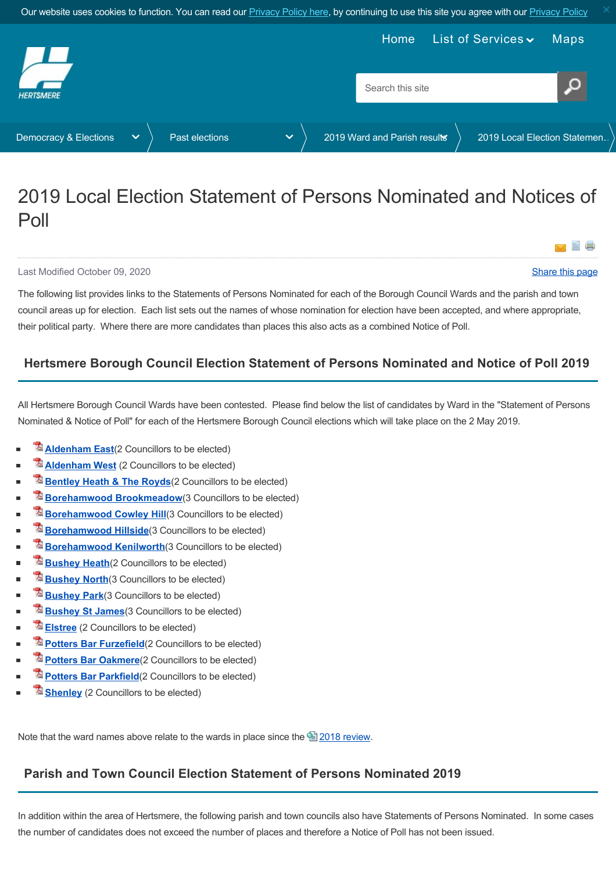<span id="page-0-0"></span>

# 2019 Local Election Statement of Persons Nominated and Notices of Poll

#### Last Modified October 09, 2020 [Share this page](http://www.addthis.com/bookmark.php?v=250&pubid=xa-502e5fd570edcb1e) of the state of the state of the state of the state of the state of the state of the state of the state of the state of the state of the state of the state of the state of the

雪 虐

Y

The following list provides links to the Statements of Persons Nominated for each of the Borough Council Wards and the parish and town council areas up for election. Each list sets out the names of whose nomination for election have been accepted, and where appropriate, their political party. Where there are more candidates than places this also acts as a combined Notice of Poll.

## **Hertsmere Borough Council Election Statement of Persons Nominated and Notice of Poll 2019**

All Hertsmere Borough Council Wards have been contested. Please find below the list of candidates by Ward in the "Statement of Persons Nominated & Notice of Poll" for each of the Hertsmere Borough Council elections which will take place on the 2 May 2019.

- **[Aldenham East](https://www.hertsmere.gov.uk/Documents/11-Your-Council/Democracy-Elections/2019-elections/Nominations/2019-May-Nominations-and-Poll-Aldenham-East.pdf)**(2 Councillors to be elected)
- **[Aldenham West](https://www.hertsmere.gov.uk/Documents/11-Your-Council/Democracy-Elections/2019-elections/Nominations/2019-May-Nominations-and-Poll-Aldenham-West.pdf)** (2 Councillors to be elected)
- **[Bentley Heath & The Royds](https://www.hertsmere.gov.uk/Documents/11-Your-Council/Democracy-Elections/2019-elections/Nominations/2019-May-Nominations-and-Poll-Bentley-Heath-The-Royds.pdf)** (2 Councillors to be elected)
- **[Borehamwood Brookmeadow](https://www.hertsmere.gov.uk/Documents/11-Your-Council/Democracy-Elections/2019-elections/Nominations/2019-May-Nominations-and-Poll-Borehamwood-Brookmeadow.pdf)**(3 Councillors to be elected)
- **[Borehamwood Cowley Hill](https://www.hertsmere.gov.uk/Documents/11-Your-Council/Democracy-Elections/2019-elections/Nominations/2019-May-Nominations-and-Poll-Borehamwood-Cowley-Hill.pdf)**(3 Councillors to be elected)
- **[Borehamwood Hillside](https://www.hertsmere.gov.uk/Documents/11-Your-Council/Democracy-Elections/2019-elections/Nominations/2019-May-Nominations-and-Poll-Borehamwood-Hillside.pdf)**(3 Councillors to be elected)
- **[Borehamwood Kenilworth](https://www.hertsmere.gov.uk/Documents/11-Your-Council/Democracy-Elections/2019-elections/Nominations/2019-May-Nominations-and-Poll-Borehamwood-Kenilworth.pdf)**(3 Councillors to be elected)
- **[Bushey Heath](https://www.hertsmere.gov.uk/Documents/11-Your-Council/Democracy-Elections/2019-elections/Nominations/2019-May-Nominations-and-Poll-Bushey-Heath.pdf)**(2 Councillors to be elected)
- **[Bushey North](https://www.hertsmere.gov.uk/Documents/11-Your-Council/Democracy-Elections/2019-elections/Nominations/2019-May-Nominations-and-Poll-Bushey-North.pdf)**(3 Councillors to be elected)
- **[Bushey Park](https://www.hertsmere.gov.uk/Documents/11-Your-Council/Democracy-Elections/2019-elections/Nominations/2019-May-Nominations-and-Poll-Bushey-Park.pdf)**(3 Councillors to be elected)
- **[Bushey St James](https://www.hertsmere.gov.uk/Documents/11-Your-Council/Democracy-Elections/2019-elections/Nominations/2019-May-Nominations-and-Poll-Bushey-St-James.pdf)** (3 Councillors to be elected)
- **[Elstree](https://www.hertsmere.gov.uk/Documents/11-Your-Council/Democracy-Elections/2019-elections/Nominations/2019-May-Nominations-and-Poll-Elstree.pdf)** (2 Councillors to be elected)
- **[Potters Bar Furzefield](https://www.hertsmere.gov.uk/Documents/11-Your-Council/Democracy-Elections/2019-elections/Nominations/2019-May-Nominations-and-Poll-Potters-Bar-Furzefield.pdf)**(2 Councillors to be elected)
- **[Potters Bar Oakmere](https://www.hertsmere.gov.uk/Documents/11-Your-Council/Democracy-Elections/2019-elections/Nominations/2019-May-Nominations-and-Poll-Potters-Bar-Oakmere.pdf)**(2 Councillors to be elected)
- **[Potters Bar Parkfield](https://www.hertsmere.gov.uk/Documents/11-Your-Council/Democracy-Elections/2019-elections/Nominations/2019-May-Nominations-and-Poll-Potters-Bar-Parkfield.pdf)**(2 Councillors to be elected)
- **[Shenley](https://www.hertsmere.gov.uk/Documents/11-Your-Council/Democracy-Elections/2019-elections/Nominations/2019-May-Nominations-and-Poll-Shenley.pdf)** (2 Councillors to be elected)

Note that the ward names above relate to the wards in place since the  $\triangleq$  [2018 review.](https://www.hertsmere.gov.uk/Your-Council/Democracy-Elections/About-elections/Review-of-Polling-Districts-and-Polling-Places-2018.aspx)

## **Parish and Town Council Election Statement of Persons Nominated 2019**

In addition within the area of Hertsmere, the following parish and town councils also have Statements of Persons Nominated. In some cases the number of candidates does not exceed the number of places and therefore a Notice of Poll has not been issued.